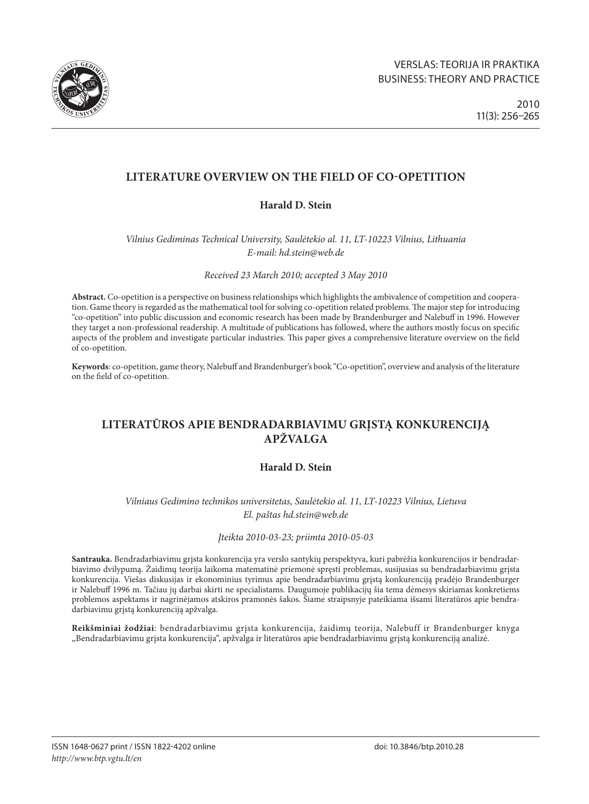

# **LITERATURE OVERVIEW ON THE FIELD OF CO-OPETITION**

# **Harald D. Stein**

*Vilnius Gediminas Technical University, Saulėtekio al. 11, LT-10223 Vilnius, Lithuania E-mail: [hd.stein@web.de](mailto:article@h-stein.eu)*

*Received 23 March 2010; accepted 3 May 2010*

**Abstract.** Co-opetition is a perspective on business relationships which highlights the ambivalence of competition and cooperation. Game theory is regarded as the mathematical tool for solving co-opetition related problems. The major step for introducing "co-opetition" into public discussion and economic research has been made by Brandenburger and Nalebuff in 1996. However they target a non-professional readership. A multitude of publications has followed, where the authors mostly focus on specific aspects of the problem and investigate particular industries. This paper gives a comprehensive literature overview on the field of co-opetition.

**Keywords**: co-opetition, game theory, Nalebuff and Brandenburger's book "Co-opetition", overview and analysis of the literature on the field of co-opetition.

# **literatūros apie bendradarbiavimu grįstą konkurenciją apžvalga**

# **Harald D. Stein**

*Vilniaus Gedimino technikos universitetas, Saulėtekio al. 11, LT-10223 Vilnius, Lietuva El. paštas [hd.stein@web.de](mailto:article@h-stein.eu)*

*Įteikta 2010-03-23; priimta 2010-05-03* 

**Santrauka.** Bendradarbiavimu grįsta konkurencija yra verslo santykių perspektyva, kuri pabrėžia konkurencijos ir bendradarbiavimo dvilypumą. Žaidimų teorija laikoma matematinė priemonė spręsti problemas, susijusias su bendradarbiavimu grįsta konkurencija. Viešas diskusijas ir ekonominius tyrimus apie bendradarbiavimu grįstą konkurenciją pradėjo Brandenburger ir Nalebuff 1996 m. Tačiau jų darbai skirti ne specialistams. Daugumoje publikacijų šia tema dėmesys skiriamas konkretiems problemos aspektams ir nagrinėjamos atskiros pramonės šakos. Šiame straipsnyje pateikiama išsami literatūros apie bendradarbiavimu grįstą konkurenciją apžvalga.

**Reikšminiai žodžiai**: bendradarbiavimu grįsta konkurencija, žaidimų teorija, Nalebuff ir Brandenburger knyga "Bendradarbiavimu grįsta konkurencija", apžvalga ir literatūros apie bendradarbiavimu grįstą konkurenciją analizė.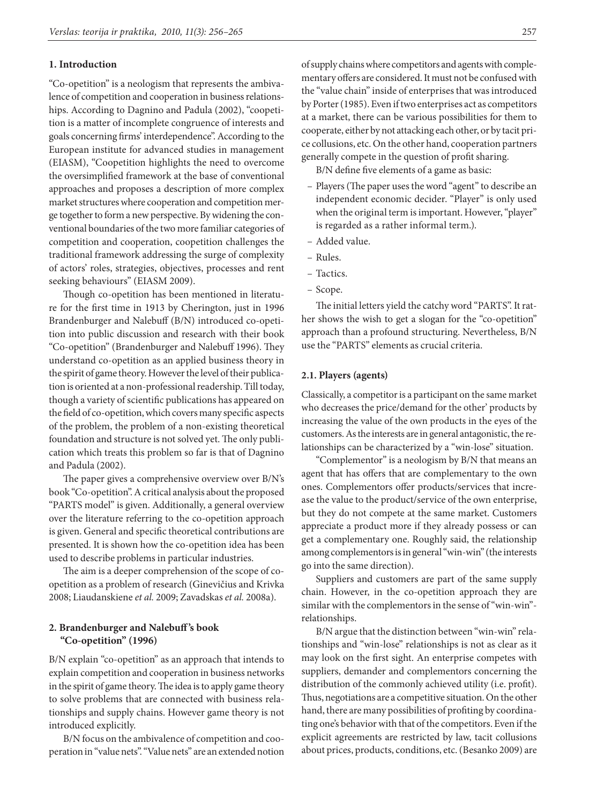### **1. Introduction**

"Co-opetition" is a neologism that represents the ambivalence of competition and cooperation in business relationships. According to Dagnino and Padula (2002), "coopetition is a matter of incomplete congruence of interests and goals concerning firms' interdependence". According to the European institute for advanced studies in management (EIASM), "Coopetition highlights the need to overcome the oversimplified framework at the base of conventional approaches and proposes a description of more complex market structures where cooperation and competition merge together to form a new perspective. By widening the conventional boundaries of the two more familiar categories of competition and cooperation, coopetition challenges the traditional framework addressing the surge of complexity of actors' roles, strategies, objectives, processes and rent seeking behaviours" (EIASM 2009).

Though co-opetition has been mentioned in literature for the first time in 1913 by Cherington, just in 1996 Brandenburger and Nalebuff (B/N) introduced co-opetition into public discussion and research with their book "Co-opetition" (Brandenburger and Nalebuff 1996). They understand co-opetition as an applied business theory in the spirit of game theory. However the level of their publication is oriented at a non-professional readership. Till today, though a variety of scientific publications has appeared on the field of co-opetition, which covers many specific aspects of the problem, the problem of a non-existing theoretical foundation and structure is not solved yet. The only publication which treats this problem so far is that of Dagnino and Padula (2002).

The paper gives a comprehensive overview over B/N's book "Co-opetition". A critical analysis about the proposed "PARTS model" is given. Additionally, a general overview over the literature referring to the co-opetition approach is given. General and specific theoretical contributions are presented. It is shown how the co-opetition idea has been used to describe problems in particular industries.

The aim is a deeper comprehension of the scope of coopetition as a problem of research (Ginevičius and Krivka 2008; Liaudanskiene *et al.* 2009; Zavadskas *et al.* 2008a).

# **2. Brandenburger and Nalebuff 's book "Co-opetition" (1996)**

B/N explain "co-opetition" as an approach that intends to explain competition and cooperation in business networks in the spirit of game theory. The idea is to apply game theory to solve problems that are connected with business relationships and supply chains. However game theory is not introduced explicitly.

B/N focus on the ambivalence of competition and cooperation in "value nets". "Value nets" are an extended notion of supply chains where competitors and agents with complementary offers are considered. It must not be confused with the "value chain" inside of enterprises that was introduced by Porter (1985). Even if two enterprises act as competitors at a market, there can be various possibilities for them to cooperate, either by not attacking each other, or by tacit price collusions, etc. On the other hand, cooperation partners generally compete in the question of profit sharing.

B/N define five elements of a game as basic:

- Players (The paper uses the word "agent" to describe an independent economic decider. "Player" is only used when the original term is important. However, "player" is regarded as a rather informal term.).
- Added value.
- Rules.
- Tactics.
- Scope.

The initial letters yield the catchy word "PARTS". It rather shows the wish to get a slogan for the "co-opetition" approach than a profound structuring. Nevertheless, B/N use the "PARTS" elements as crucial criteria.

### **2.1. Players (agents)**

Classically, a competitor is a participant on the same market who decreases the price/demand for the other' products by increasing the value of the own products in the eyes of the customers. As the interests are in general antagonistic, the relationships can be characterized by a "win-lose" situation.

"Complementor" is a neologism by B/N that means an agent that has offers that are complementary to the own ones. Complementors offer products/services that increase the value to the product/service of the own enterprise, but they do not compete at the same market. Customers appreciate a product more if they already possess or can get a complementary one. Roughly said, the relationship among complementors is in general "win-win" (the interests go into the same direction).

Suppliers and customers are part of the same supply chain. However, in the co-opetition approach they are similar with the complementors in the sense of "win-win" relationships.

B/N argue that the distinction between "win-win" relationships and "win-lose" relationships is not as clear as it may look on the first sight. An enterprise competes with suppliers, demander and complementors concerning the distribution of the commonly achieved utility (i.e. profit). Thus, negotiations are a competitive situation. On the other hand, there are many possibilities of profiting by coordinating one's behavior with that of the competitors. Even if the explicit agreements are restricted by law, tacit collusions about prices, products, conditions, etc. (Besanko 2009) are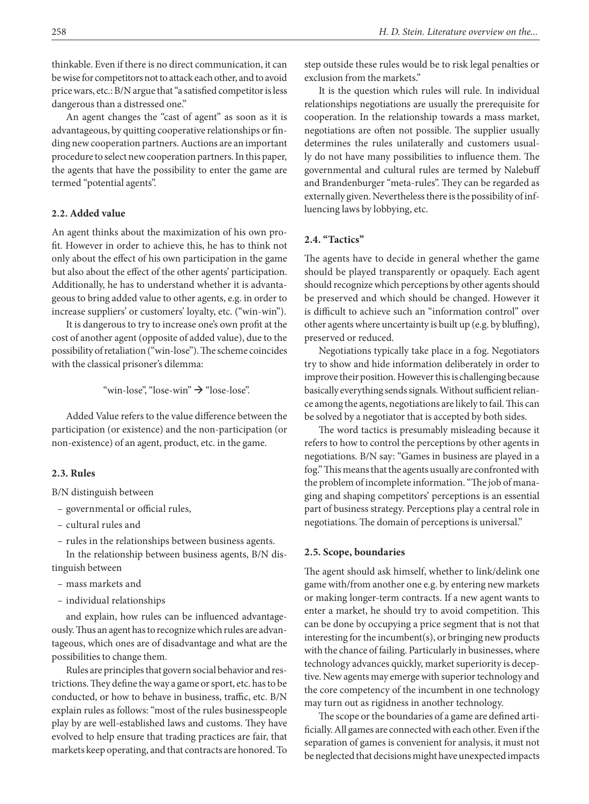thinkable. Even if there is no direct communication, it can be wise for competitors not to attack each other, and to avoid price wars, etc.: B/N argue that "a satisfied competitor is less dangerous than a distressed one."

An agent changes the "cast of agent" as soon as it is advantageous, by quitting cooperative relationships or finding new cooperation partners. Auctions are an important procedure to select new cooperation partners. In this paper, the agents that have the possibility to enter the game are termed "potential agents".

### **2.2. Added value**

An agent thinks about the maximization of his own profit. However in order to achieve this, he has to think not only about the effect of his own participation in the game but also about the effect of the other agents' participation. Additionally, he has to understand whether it is advantageous to bring added value to other agents, e.g. in order to increase suppliers' or customers' loyalty, etc. ("win-win").

It is dangerous to try to increase one's own profit at the cost of another agent (opposite of added value), due to the possibility of retaliation ("win-lose"). The scheme coincides with the classical prisoner's dilemma:

"win-lose", "lose-win"  $\rightarrow$  "lose-lose".

Added Value refers to the value difference between the participation (or existence) and the non-participation (or non-existence) of an agent, product, etc. in the game.

### **2.3. Rules**

B/N distinguish between

- governmental or official rules,
- cultural rules and
- rules in the relationships between business agents.

In the relationship between business agents, B/N distinguish between

- mass markets and
- individual relationships

and explain, how rules can be influenced advantageously. Thus an agent has to recognize which rules are advantageous, which ones are of disadvantage and what are the possibilities to change them.

Rules are principles that govern social behavior and restrictions. They define the way a game or sport, etc. has to be conducted, or how to behave in business, traffic, etc. B/N explain rules as follows: "most of the rules businesspeople play by are well-established laws and customs. They have evolved to help ensure that trading practices are fair, that markets keep operating, and that contracts are honored. To step outside these rules would be to risk legal penalties or exclusion from the markets."

It is the question which rules will rule. In individual relationships negotiations are usually the prerequisite for cooperation. In the relationship towards a mass market, negotiations are often not possible. The supplier usually determines the rules unilaterally and customers usually do not have many possibilities to influence them. The governmental and cultural rules are termed by Nalebuff and Brandenburger "meta-rules". They can be regarded as externally given. Nevertheless there is the possibility of influencing laws by lobbying, etc.

# **2.4. "Tactics"**

The agents have to decide in general whether the game should be played transparently or opaquely. Each agent should recognize which perceptions by other agents should be preserved and which should be changed. However it is difficult to achieve such an "information control" over other agents where uncertainty is built up (e.g. by bluffing), preserved or reduced.

Negotiations typically take place in a fog. Negotiators try to show and hide information deliberately in order to improve their position. However this is challenging because basically everything sends signals. Without sufficient reliance among the agents, negotiations are likely to fail. This can be solved by a negotiator that is accepted by both sides.

The word tactics is presumably misleading because it refers to how to control the perceptions by other agents in negotiations. B/N say: "Games in business are played in a fog." This means that the agents usually are confronted with the problem of incomplete information. "The job of managing and shaping competitors' perceptions is an essential part of business strategy. Perceptions play a central role in negotiations. The domain of perceptions is universal."

#### **2.5. Scope, boundaries**

The agent should ask himself, whether to link/delink one game with/from another one e.g. by entering new markets or making longer-term contracts. If a new agent wants to enter a market, he should try to avoid competition. This can be done by occupying a price segment that is not that interesting for the incumbent(s), or bringing new products with the chance of failing. Particularly in businesses, where technology advances quickly, market superiority is deceptive. New agents may emerge with superior technology and the core competency of the incumbent in one technology may turn out as rigidness in another technology.

The scope or the boundaries of a game are defined artificially. All games are connected with each other. Even if the separation of games is convenient for analysis, it must not be neglected that decisions might have unexpected impacts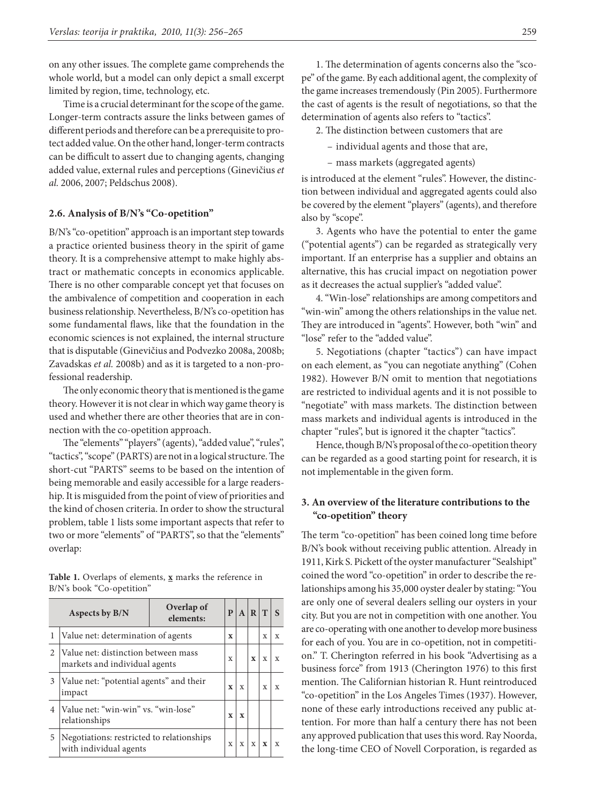on any other issues. The complete game comprehends the whole world, but a model can only depict a small excerpt limited by region, time, technology, etc.

Time is a crucial determinant for the scope of the game. Longer-term contracts assure the links between games of different periods and therefore can be a prerequisite to protect added value. On the other hand, longer-term contracts can be difficult to assert due to changing agents, changing added value, external rules and perceptions (Ginevičius *et al.* 2006, 2007; Peldschus 2008).

### **2.6. Analysis of B/N's "Co-opetition"**

B/N's "co-opetition" approach is an important step towards a practice oriented business theory in the spirit of game theory. It is a comprehensive attempt to make highly abstract or mathematic concepts in economics applicable. There is no other comparable concept yet that focuses on the ambivalence of competition and cooperation in each business relationship. Nevertheless, B/N's co-opetition has some fundamental flaws, like that the foundation in the economic sciences is not explained, the internal structure that is disputable (Ginevičius and Podvezko 2008a, 2008b; Zavadskas *et al.* 2008b) and as it is targeted to a non-professional readership.

The only economic theory that is mentioned is the game theory. However it is not clear in which way game theory is used and whether there are other theories that are in connection with the co-opetition approach.

The "elements" "players" (agents), "added value", "rules", "tactics", "scope" (PARTS) are not in a logical structure. The short-cut "PARTS" seems to be based on the intention of being memorable and easily accessible for a large readership. It is misguided from the point of view of priorities and the kind of chosen criteria. In order to show the structural problem, table 1 lists some important aspects that refer to two or more "elements" of "PARTS", so that the "elements" overlap:

**Table 1.** Overlaps of elements, **x** marks the reference in B/N's book "Co-opetition"

| Aspects by B/N |                                                                      | Overlap of<br>elements: | P           | $\mathbf{A}$ | $R$ T       |              | $\mathbf{s}$ |
|----------------|----------------------------------------------------------------------|-------------------------|-------------|--------------|-------------|--------------|--------------|
|                | Value net: determination of agents                                   |                         |             |              |             | X            | X            |
| 2              | Value net: distinction between mass<br>markets and individual agents |                         | X           |              | $\mathbf x$ | $\mathbf{x}$ | X            |
| 3              | Value net: "potential agents" and their<br>impact                    |                         | $\mathbf x$ | X            |             | X            | X            |
| $\overline{4}$ | Value net: "win-win" vs. "win-lose"<br>relationships                 |                         | $\mathbf x$ | $\mathbf x$  |             |              |              |
| 5              | Negotiations: restricted to relationships<br>with individual agents  |                         | $\mathbf x$ | $\mathbf X$  | $\mathbf x$ | $\mathbf{x}$ | $\mathbf{x}$ |

1. The determination of agents concerns also the "scope" of the game. By each additional agent, the complexity of the game increases tremendously (Pin 2005). Furthermore the cast of agents is the result of negotiations, so that the determination of agents also refers to "tactics".

2. The distinction between customers that are

– individual agents and those that are,

– mass markets (aggregated agents)

is introduced at the element "rules". However, the distinction between individual and aggregated agents could also be covered by the element "players" (agents), and therefore also by "scope".

3. Agents who have the potential to enter the game ("potential agents") can be regarded as strategically very important. If an enterprise has a supplier and obtains an alternative, this has crucial impact on negotiation power as it decreases the actual supplier's "added value".

4. "Win-lose" relationships are among competitors and "win-win" among the others relationships in the value net. They are introduced in "agents". However, both "win" and "lose" refer to the "added value".

5. Negotiations (chapter "tactics") can have impact on each element, as "you can negotiate anything" (Cohen 1982). However B/N omit to mention that negotiations are restricted to individual agents and it is not possible to "negotiate" with mass markets. The distinction between mass markets and individual agents is introduced in the chapter "rules", but is ignored it the chapter "tactics".

Hence, though B/N's proposal of the co-opetition theory can be regarded as a good starting point for research, it is not implementable in the given form.

# **3. An overview of the literature contributions to the "co-opetition" theory**

The term "co-opetition" has been coined long time before B/N's book without receiving public attention. Already in 1911, Kirk S. Pickett of the oyster manufacturer "Sealshipt" coined the word "co-opetition" in order to describe the relationships among his 35,000 oyster dealer by stating: "You are only one of several dealers selling our oysters in your city. But you are not in competition with one another. You are co-operating with one another to develop more business for each of you. You are in co-opetition, not in competition." T. Cherington referred in his book "Advertising as a business force" from 1913 (Cherington 1976) to this first mention. The Californian historian R. Hunt reintroduced "co-opetition" in the Los Angeles Times (1937). However, none of these early introductions received any public attention. For more than half a century there has not been any approved publication that uses this word. Ray Noorda, the long-time CEO of Novell Corporation, is regarded as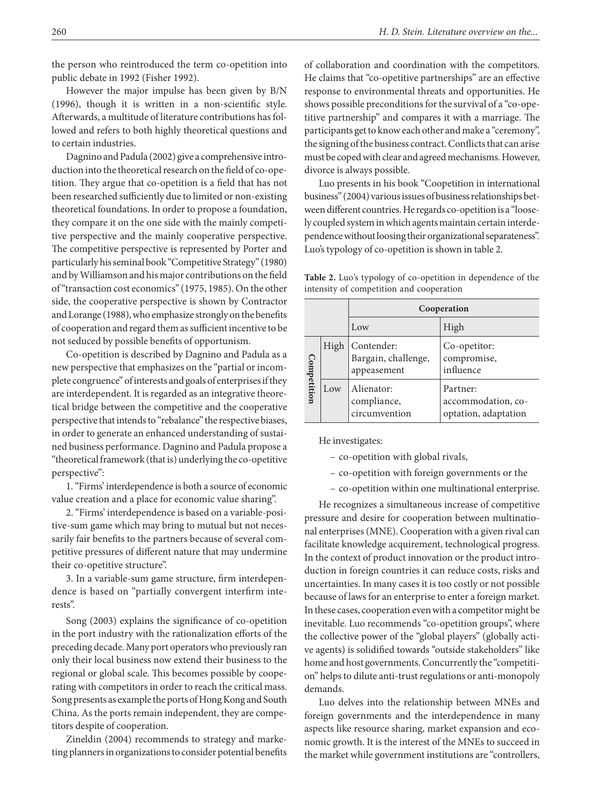the person who reintroduced the term co-opetition into public debate in 1992 (Fisher 1992).

However the major impulse has been given by B/N (1996), though it is written in a non-scientific style. Afterwards, a multitude of literature contributions has followed and refers to both highly theoretical questions and to certain industries.

Dagnino and Padula (2002) give a comprehensive introduction into the theoretical research on the field of co-opetition. They argue that co-opetition is a field that has not been researched sufficiently due to limited or non-existing theoretical foundations. In order to propose a foundation, they compare it on the one side with the mainly competitive perspective and the mainly cooperative perspective. The competitive perspective is represented by Porter and particularly his seminal book "Competitive Strategy" (1980) and by Williamson and his major contributions on the field of "transaction cost economics" (1975, 1985). On the other side, the cooperative perspective is shown by Contractor and Lorange (1988), who emphasize strongly on the benefits of cooperation and regard them as sufficient incentive to be not seduced by possible benefits of opportunism.

Co-opetition is described by Dagnino and Padula as a new perspective that emphasizes on the "partial or incomplete congruence" of interests and goals of enterprises if they are interdependent. It is regarded as an integrative theoretical bridge between the competitive and the cooperative perspective that intends to "rebalance" the respective biases, in order to generate an enhanced understanding of sustained business performance. Dagnino and Padula propose a "theoretical framework (that is) underlying the co-opetitive perspective":

1. "Firms' interdependence is both a source of economic value creation and a place for economic value sharing".

2. "Firms' interdependence is based on a variable-positive-sum game which may bring to mutual but not necessarily fair benefits to the partners because of several competitive pressures of different nature that may undermine their co-opetitive structure".

3. In a variable-sum game structure, firm interdependence is based on "partially convergent interfirm interests".

Song (2003) explains the significance of co-opetition in the port industry with the rationalization efforts of the preceding decade. Many port operators who previously ran only their local business now extend their business to the regional or global scale. This becomes possible by cooperating with competitors in order to reach the critical mass. Song presents as example the ports of Hong Kong and South China. As the ports remain independent, they are competitors despite of cooperation.

Zineldin (2004) recommends to strategy and marketing planners in organizations to consider potential benefits of collaboration and coordination with the competitors. He claims that "co-opetitive partnerships" are an effective response to environmental threats and opportunities. He shows possible preconditions for the survival of a "co-opetitive partnership" and compares it with a marriage. The participants get to know each other and make a "ceremony", the signing of the business contract. Conflicts that can arise must be coped with clear and agreed mechanisms. However, divorce is always possible.

Luo presents in his book "Coopetition in international business" (2004) various issues of business relationships between different countries. He regards co-opetition is a "loosely coupled system in which agents maintain certain interdependence without loosing their organizational separateness". Luo's typology of co-opetition is shown in table 2.

**Table 2.** Luo's typology of co-opetition in dependence of the intensity of competition and cooperation

|             |      | Cooperation                                      |                                                        |  |  |
|-------------|------|--------------------------------------------------|--------------------------------------------------------|--|--|
|             |      | Low                                              | High                                                   |  |  |
|             | High | Contender:<br>Bargain, challenge,<br>appeasement | Co-opetitor:<br>compromise,<br>influence               |  |  |
| Competition | Low  | Alienator:<br>compliance,<br>circumvention       | Partner:<br>accommodation, co-<br>optation, adaptation |  |  |

He investigates:

- co-opetition with global rivals,
- co-opetition with foreign governments or the
- co-opetition within one multinational enterprise.

He recognizes a simultaneous increase of competitive pressure and desire for cooperation between multinational enterprises (MNE). Cooperation with a given rival can facilitate knowledge acquirement, technological progress. In the context of product innovation or the product introduction in foreign countries it can reduce costs, risks and uncertainties. In many cases it is too costly or not possible because of laws for an enterprise to enter a foreign market. In these cases, cooperation even with a competitor might be inevitable. Luo recommends "co-opetition groups", where the collective power of the "global players" (globally active agents) is solidified towards "outside stakeholders" like home and host governments. Concurrently the "competition" helps to dilute anti-trust regulations or anti-monopoly demands.

Luo delves into the relationship between MNEs and foreign governments and the interdependence in many aspects like resource sharing, market expansion and economic growth. It is the interest of the MNEs to succeed in the market while government institutions are "controllers,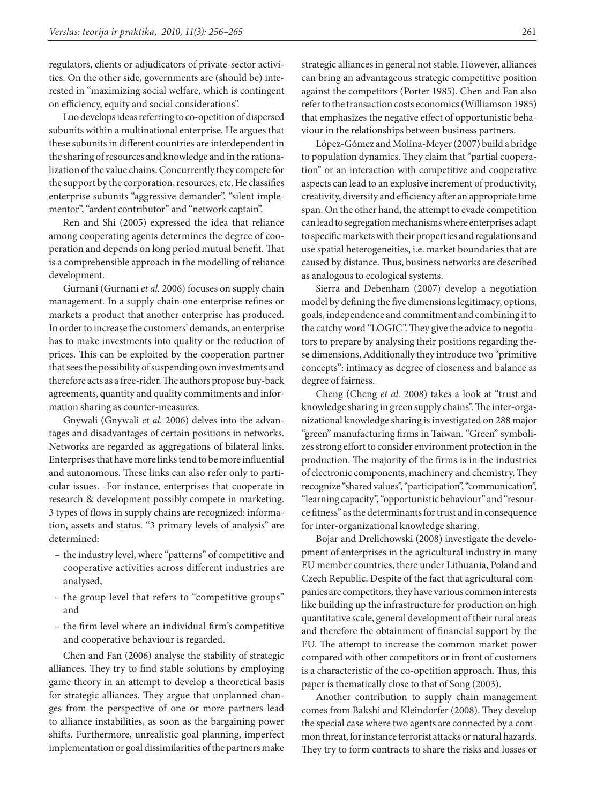regulators, clients or adjudicators of private-sector activities. On the other side, governments are (should be) interested in "maximizing social welfare, which is contingent on efficiency, equity and social considerations".

Luo develops ideas referring to co-opetition of dispersed subunits within a multinational enterprise. He argues that these subunits in different countries are interdependent in the sharing of resources and knowledge and in the rationalization of the value chains. Concurrently they compete for the support by the corporation, resources, etc. He classifies enterprise subunits "aggressive demander", "silent implementor", "ardent contributor" and "network captain".

Ren and Shi (2005) expressed the idea that reliance among cooperating agents determines the degree of cooperation and depends on long period mutual benefit. That is a comprehensible approach in the modelling of reliance development.

Gurnani (Gurnani *et al.* 2006) focuses on supply chain management. In a supply chain one enterprise refines or markets a product that another enterprise has produced. In order to increase the customers' demands, an enterprise has to make investments into quality or the reduction of prices. This can be exploited by the cooperation partner that sees the possibility of suspending own investments and therefore acts as a free-rider. The authors propose buy-back agreements, quantity and quality commitments and information sharing as counter-measures.

Gnywali (Gnywali *et al.* 2006) delves into the advantages and disadvantages of certain positions in networks. Networks are regarded as aggregations of bilateral links. Enterprises that have more links tend to be more influential and autonomous. These links can also refer only to particular issues. -For instance, enterprises that cooperate in research & development possibly compete in marketing. 3 types of flows in supply chains are recognized: information, assets and status. "3 primary levels of analysis" are determined:

- the industry level, where "patterns" of competitive and cooperative activities across different industries are analysed,
- the group level that refers to "competitive groups" and
- the firm level where an individual firm's competitive and cooperative behaviour is regarded.

Chen and Fan (2006) analyse the stability of strategic alliances. They try to find stable solutions by employing game theory in an attempt to develop a theoretical basis for strategic alliances. They argue that unplanned changes from the perspective of one or more partners lead to alliance instabilities, as soon as the bargaining power shifts. Furthermore, unrealistic goal planning, imperfect implementation or goal dissimilarities of the partners make strategic alliances in general not stable. However, alliances can bring an advantageous strategic competitive position against the competitors (Porter 1985). Chen and Fan also refer to the transaction costs economics (Williamson 1985) that emphasizes the negative effect of opportunistic behaviour in the relationships between business partners.

López-Gómez and Molina-Meyer (2007) build a bridge to population dynamics. They claim that "partial cooperation" or an interaction with competitive and cooperative aspects can lead to an explosive increment of productivity, creativity, diversity and efficiency after an appropriate time span. On the other hand, the attempt to evade competition can lead to segregation mechanisms where enterprises adapt to specific markets with their properties and regulations and use spatial heterogeneities, i.e. market boundaries that are caused by distance. Thus, business networks are described as analogous to ecological systems.

Sierra and Debenham (2007) develop a negotiation model by defining the five dimensions legitimacy, options, goals, independence and commitment and combining it to the catchy word "LOGIC". They give the advice to negotiators to prepare by analysing their positions regarding these dimensions. Additionally they introduce two "primitive concepts": intimacy as degree of closeness and balance as degree of fairness.

Cheng (Cheng *et al.* 2008) takes a look at "trust and knowledge sharing in green supply chains". The inter-organizational knowledge sharing is investigated on 288 major "green" manufacturing firms in Taiwan. "Green" symbolizes strong effort to consider environment protection in the production. The majority of the firms is in the industries of electronic components, machinery and chemistry. They recognize "shared values", "participation", "communication", "learning capacity", "opportunistic behaviour" and "resource fitness" as the determinants for trust and in consequence for inter-organizational knowledge sharing.

Bojar and Drelichowski (2008) investigate the development of enterprises in the agricultural industry in many EU member countries, there under Lithuania, Poland and Czech Republic. Despite of the fact that agricultural companies are competitors, they have various common interests like building up the infrastructure for production on high quantitative scale, general development of their rural areas and therefore the obtainment of financial support by the EU. The attempt to increase the common market power compared with other competitors or in front of customers is a characteristic of the co-opetition approach. Thus, this paper is thematically close to that of Song (2003).

Another contribution to supply chain management comes from Bakshi and Kleindorfer (2008). They develop the special case where two agents are connected by a common threat, for instance terrorist attacks or natural hazards. They try to form contracts to share the risks and losses or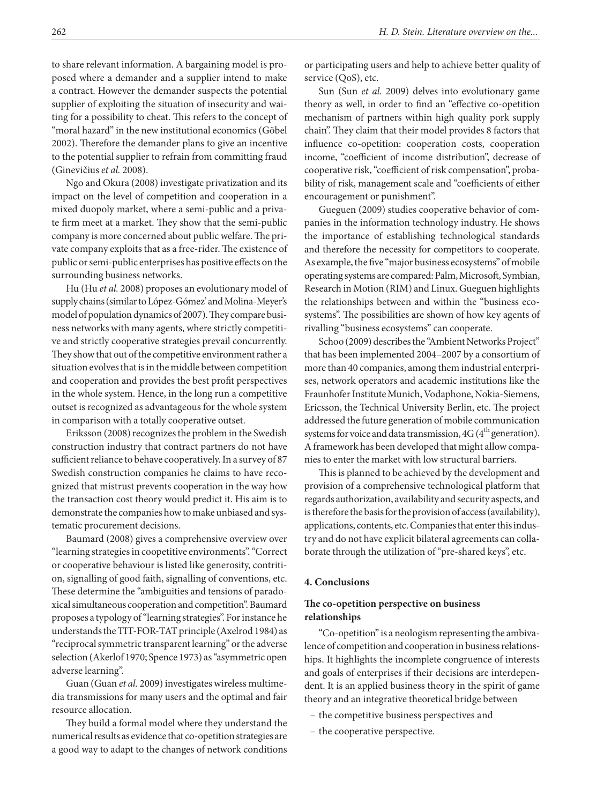to share relevant information. A bargaining model is proposed where a demander and a supplier intend to make a contract. However the demander suspects the potential supplier of exploiting the situation of insecurity and waiting for a possibility to cheat. This refers to the concept of "moral hazard" in the new institutional economics (Göbel 2002). Therefore the demander plans to give an incentive to the potential supplier to refrain from committing fraud (Ginevičius *et al.* 2008).

Ngo and Okura (2008) investigate privatization and its impact on the level of competition and cooperation in a mixed duopoly market, where a semi-public and a private firm meet at a market. They show that the semi-public company is more concerned about public welfare. The private company exploits that as a free-rider. The existence of public or semi-public enterprises has positive effects on the surrounding business networks.

Hu (Hu *et al.* 2008) proposes an evolutionary model of supply chains (similar to López-Gómez' and Molina-Meyer's model of population dynamics of 2007). They compare business networks with many agents, where strictly competitive and strictly cooperative strategies prevail concurrently. They show that out of the competitive environment rather a situation evolves that is in the middle between competition and cooperation and provides the best profit perspectives in the whole system. Hence, in the long run a competitive outset is recognized as advantageous for the whole system in comparison with a totally cooperative outset.

Eriksson (2008) recognizes the problem in the Swedish construction industry that contract partners do not have sufficient reliance to behave cooperatively. In a survey of 87 Swedish construction companies he claims to have recognized that mistrust prevents cooperation in the way how the transaction cost theory would predict it. His aim is to demonstrate the companies how to make unbiased and systematic procurement decisions.

Baumard (2008) gives a comprehensive overview over "learning strategies in coopetitive environments". "Correct or cooperative behaviour is listed like generosity, contrition, signalling of good faith, signalling of conventions, etc. These determine the "ambiguities and tensions of paradoxical simultaneous cooperation and competition". Baumard proposes a typology of "learning strategies". For instance he understands the TIT-FOR-TAT principle (Axelrod 1984) as "reciprocal symmetric transparent learning" or the adverse selection (Akerlof 1970; Spence 1973) as "asymmetric open adverse learning".

Guan (Guan *et al.* 2009) investigates wireless multimedia transmissions for many users and the optimal and fair resource allocation.

They build a formal model where they understand the numerical results as evidence that co-opetition strategies are a good way to adapt to the changes of network conditions or participating users and help to achieve better quality of service (QoS), etc.

Sun (Sun *et al.* 2009) delves into evolutionary game theory as well, in order to find an "effective co-opetition mechanism of partners within high quality pork supply chain". They claim that their model provides 8 factors that influence co-opetition: cooperation costs, cooperation income, "coefficient of income distribution", decrease of cooperative risk, "coefficient of risk compensation", probability of risk, management scale and "coefficients of either encouragement or punishment".

Gueguen (2009) studies cooperative behavior of companies in the information technology industry. He shows the importance of establishing technological standards and therefore the necessity for competitors to cooperate. As example, the five "major business ecosystems" of mobile operating systems are compared: Palm, Microsoft, Symbian, Research in Motion (RIM) and Linux. Gueguen highlights the relationships between and within the "business ecosystems". The possibilities are shown of how key agents of rivalling "business ecosystems" can cooperate.

Schoo (2009) describes the "Ambient Networks Project" that has been implemented 2004–2007 by a consortium of more than 40 companies, among them industrial enterprises, network operators and academic institutions like the Fraunhofer Institute Munich, Vodaphone, Nokia-Siemens, Ericsson, the Technical University Berlin, etc. The project addressed the future generation of mobile communication systems for voice and data transmission,  $4G(4<sup>th</sup>$  generation). A framework has been developed that might allow companies to enter the market with low structural barriers.

This is planned to be achieved by the development and provision of a comprehensive technological platform that regards authorization, availability and security aspects, and is therefore the basis for the provision of access (availability), applications, contents, etc. Companies that enter this industry and do not have explicit bilateral agreements can collaborate through the utilization of "pre-shared keys", etc.

### **4. Conclusions**

## **The co-opetition perspective on business relationships**

"Co-opetition" is a neologism representing the ambivalence of competition and cooperation in business relationships. It highlights the incomplete congruence of interests and goals of enterprises if their decisions are interdependent. It is an applied business theory in the spirit of game theory and an integrative theoretical bridge between

- the competitive business perspectives and
- the cooperative perspective.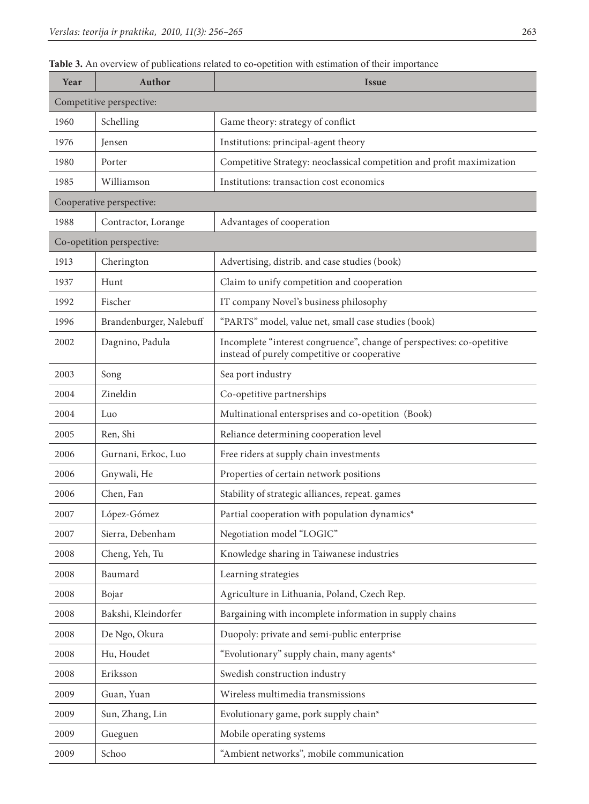# Table 3. An overview of publications related to co-opetition with estimation of their importance

| Year                     | Author                    | <b>Issue</b>                                                                                                           |  |  |  |  |
|--------------------------|---------------------------|------------------------------------------------------------------------------------------------------------------------|--|--|--|--|
| Competitive perspective: |                           |                                                                                                                        |  |  |  |  |
| 1960                     | Schelling                 | Game theory: strategy of conflict                                                                                      |  |  |  |  |
| 1976                     | Jensen                    | Institutions: principal-agent theory                                                                                   |  |  |  |  |
| 1980                     | Porter                    | Competitive Strategy: neoclassical competition and profit maximization                                                 |  |  |  |  |
| 1985                     | Williamson                | Institutions: transaction cost economics                                                                               |  |  |  |  |
| Cooperative perspective: |                           |                                                                                                                        |  |  |  |  |
| 1988                     | Contractor, Lorange       | Advantages of cooperation                                                                                              |  |  |  |  |
|                          | Co-opetition perspective: |                                                                                                                        |  |  |  |  |
| 1913                     | Cherington                | Advertising, distrib. and case studies (book)                                                                          |  |  |  |  |
| 1937                     | Hunt                      | Claim to unify competition and cooperation                                                                             |  |  |  |  |
| 1992                     | Fischer                   | IT company Novel's business philosophy                                                                                 |  |  |  |  |
| 1996                     | Brandenburger, Nalebuff   | "PARTS" model, value net, small case studies (book)                                                                    |  |  |  |  |
| 2002                     | Dagnino, Padula           | Incomplete "interest congruence", change of perspectives: co-opetitive<br>instead of purely competitive or cooperative |  |  |  |  |
| 2003                     | Song                      | Sea port industry                                                                                                      |  |  |  |  |
| 2004                     | Zineldin                  | Co-opetitive partnerships                                                                                              |  |  |  |  |
| 2004                     | Luo                       | Multinational entersprises and co-opetition (Book)                                                                     |  |  |  |  |
| 2005                     | Ren, Shi                  | Reliance determining cooperation level                                                                                 |  |  |  |  |
| 2006                     | Gurnani, Erkoc, Luo       | Free riders at supply chain investments                                                                                |  |  |  |  |
| 2006                     | Gnywali, He               | Properties of certain network positions                                                                                |  |  |  |  |
| 2006                     | Chen, Fan                 | Stability of strategic alliances, repeat. games                                                                        |  |  |  |  |
| 2007                     | López-Gómez               | Partial cooperation with population dynamics*                                                                          |  |  |  |  |
| 2007                     | Sierra, Debenham          | Negotiation model "LOGIC"                                                                                              |  |  |  |  |
| 2008                     | Cheng, Yeh, Tu            | Knowledge sharing in Taiwanese industries                                                                              |  |  |  |  |
| 2008                     | Baumard                   | Learning strategies                                                                                                    |  |  |  |  |
| 2008                     | Bojar                     | Agriculture in Lithuania, Poland, Czech Rep.                                                                           |  |  |  |  |
| 2008                     | Bakshi, Kleindorfer       | Bargaining with incomplete information in supply chains                                                                |  |  |  |  |
| 2008                     | De Ngo, Okura             | Duopoly: private and semi-public enterprise                                                                            |  |  |  |  |
| 2008                     | Hu, Houdet                | "Evolutionary" supply chain, many agents*                                                                              |  |  |  |  |
| 2008                     | Eriksson                  | Swedish construction industry                                                                                          |  |  |  |  |
| 2009                     | Guan, Yuan                | Wireless multimedia transmissions                                                                                      |  |  |  |  |
| 2009                     | Sun, Zhang, Lin           | Evolutionary game, pork supply chain*                                                                                  |  |  |  |  |
| 2009                     | Gueguen                   | Mobile operating systems                                                                                               |  |  |  |  |
| 2009                     | Schoo                     | "Ambient networks", mobile communication                                                                               |  |  |  |  |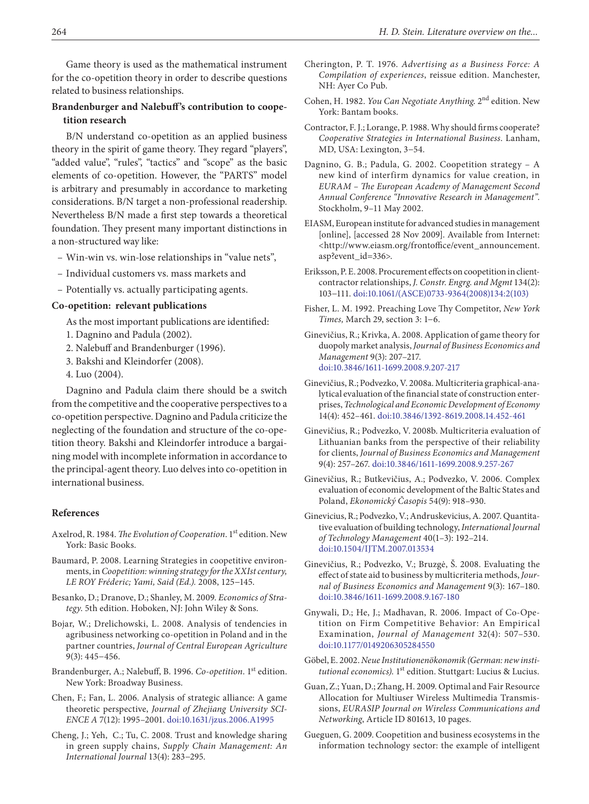Game theory is used as the mathematical instrument for the co-opetition theory in order to describe questions related to business relationships.

# **Brandenburger and Nalebuff's contribution to coopetition research**

B/N understand co-opetition as an applied business theory in the spirit of game theory. They regard "players", "added value", "rules", "tactics" and "scope" as the basic elements of co-opetition. However, the "PARTS" model is arbitrary and presumably in accordance to marketing considerations. B/N target a non-professional readership. Nevertheless B/N made a first step towards a theoretical foundation. They present many important distinctions in a non-structured way like:

- Win-win vs. win-lose relationships in "value nets",
- Individual customers vs. mass markets and
- Potentially vs. actually participating agents.

#### **Co-opetition: relevant publications**

As the most important publications are identified:

- 1. Dagnino and Padula (2002).
- 2. Nalebuff and Brandenburger (1996).
- 3. Bakshi and Kleindorfer (2008).
- 4. Luo (2004).

Dagnino and Padula claim there should be a switch from the competitive and the cooperative perspectives to a co-opetition perspective. Dagnino and Padula criticize the neglecting of the foundation and structure of the co-opetition theory. Bakshi and Kleindorfer introduce a bargaining model with incomplete information in accordance to the principal-agent theory. Luo delves into co-opetition in international business.

#### **References**

- Axelrod, R. 1984. *The Evolution of Cooperation*. 1st edition. New York: Basic Books.
- Baumard, P. 2008. Learning Strategies in coopetitive environments, in *Coopetition: winning strategy for the XXIst century, LE ROY Fréderic; Yami, Said (Ed.).* 2008, 125−145.
- Besanko, D.; Dranove, D.; Shanley, M. 2009. *Economics of Strategy*. 5th edition. Hoboken, NJ: John Wiley & Sons.
- Bojar, W.; Drelichowski, L. 2008. Analysis of tendencies in agribusiness networking co-opetition in Poland and in the partner countries, *[Journal of Central European Agriculture](http://hrcak.srce.hr/jcea)* 9(3): 445−456.
- Brandenburger, A.; Nalebuff, B. 1996. *Co-opetition*. 1st edition. New York: Broadway Business.
- Chen, F.; Fan, L. 2006. Analysis of strategic alliance: A game theoretic perspective, *Journal of Zhejiang University SCI-ENCE A* 7(12): 1995–2001. [doi:10.1631/jzus.2006.A1995](http://dx.doi.org/10.1631/jzus.2006.A1995)
- Cheng, J.; Yeh, C.; Tu, C. 2008. Trust and knowledge sharing in green supply chains, *Supply Chain Management: An International Journal* 13(4): 283−295.
- Cherington, P. T. 1976. *Advertising as a Business Force: A Compilation of experiences*, reissue edition. Manchester, NH: Ayer Co Pub.
- Cohen, H. 1982. *You Can Negotiate Anything*. 2nd edition. New York: Bantam books.
- Contractor, F. J.; Lorange, P. 1988. Why should firms cooperate? *Cooperative Strategies in International Business*. Lanham, MD, USA: Lexington, 3−54.
- Dagnino, G. B.; Padula, G. 2002. Coopetition strategy A new kind of interfirm dynamics for value creation, in *EURAM – The European Academy of Management Second Annual Conference "Innovative Research in Management"*. Stockholm, 9–11 May 2002.
- EIASM, European institute for advanced studies in management [online], [accessed 28 Nov 2009]. Available from Internet: <http://[www.eiasm.org/frontoffice/event\\_announcement.](http://www.eiasm.org/frontoffice/event_announcement.asp?event_id=336) [asp?event\\_id=336>](http://www.eiasm.org/frontoffice/event_announcement.asp?event_id=336).
- Eriksson, P. E. 2008. Procurement effects on coopetition in clientcontractor relationships, *J. Constr. Engrg. and Mgmt* 134(2): 103−111. [doi:10.1061/\(ASCE\)0733-9364\(2008\)134:2\(103\)](http://dx.doi.org/10.1061/(ASCE)0733-9364(2008)134:2(103))
- Fisher, L. M. 1992. Preaching Love Thy Competitor, *New York Times,* March 29, section 3: 1−6.
- Ginevičius, R.; Krivka, A. 2008. Application of game theory for duopoly market analysis, *Journal of Business Economics and Management* 9(3): 207–217. [doi:10.3846/1611-1699.2008.9.207-217](http://dx.doi.org/10.3846/1611-1699.2008.9.207-217)
- Ginevičius, R.; Podvezko, V. 2008a. Multicriteria graphical-analytical evaluation of the financial state of construction enterprises, *Technological and Economic Development of Economy*  14(4): 452–461. [doi:10.3846/1392-8619.2008.14.452-461](http://dx.doi.org/10.1.1.27.9351&rep=rep1&type=pdf>.)
- Ginevičius, R.; Podvezko, V. 2008b. Multicriteria evaluation of Lithuanian banks from the perspective of their reliability for clients, *Journal of Business Economics and Management*  9(4): 257–267. [doi:10.3846/1611-1699.2008.9.257-267](http://dx.doi.org/10.3846/1611-1699.2008.9.257-267)
- Ginevičius, R.; Butkevičius, A.; Podvezko, V. 2006. Complex evaluation of economic development of the Baltic States and Poland, *Ekonomický Časopis* 54(9): 918–930.
- Ginevicius, R.; Podvezko, V.; Andruskevicius, A. 2007. Quantitative evaluation of building technology, *International Journal of Technology Management* 40(1–3): 192–214. [doi:10.1504/IJTM.2007.013534](http://dx.doi.org/10.1504/IJTM.2007.013534)
- Ginevičius, R.; Podvezko, V.; Bruzgė, Š. 2008. Evaluating the effect of state aid to business by multicriteria methods, *Journal of Business Economics and Management* 9(3): 167–180. [doi:10.3846/1611-1699.2008.9.167-180](http://dx.doi.org/10.1.1.27.9351&rep=rep1&type=pdf>.)
- Gnywali, D.; He, J.; Madhavan, R. 2006. Impact of Co-Opetition on Firm Competitive Behavior: An Empirical Examination, *Journal of Management* 32(4): 507–530. [doi:10.1177/0149206305284550](http://dx.doi.org/10.1.1.27.9351&rep=rep1&type=pdf>.)
- Göbel, E. 2002. *Neue Institutionenökonomik (German: new institutional economics*). 1<sup>st</sup> edition. Stuttgart: Lucius & Lucius.
- Guan, Z.; Yuan, D.; Zhang, H. 2009. Optimal and Fair Resource Allocation for Multiuser Wireless Multimedia Transmissions, *EURASIP Journal on Wireless Communications and Networking*, Article ID 801613, 10 pages.
- Gueguen, G. 2009. Coopetition and business ecosystems in the information technology sector: the example of intelligent